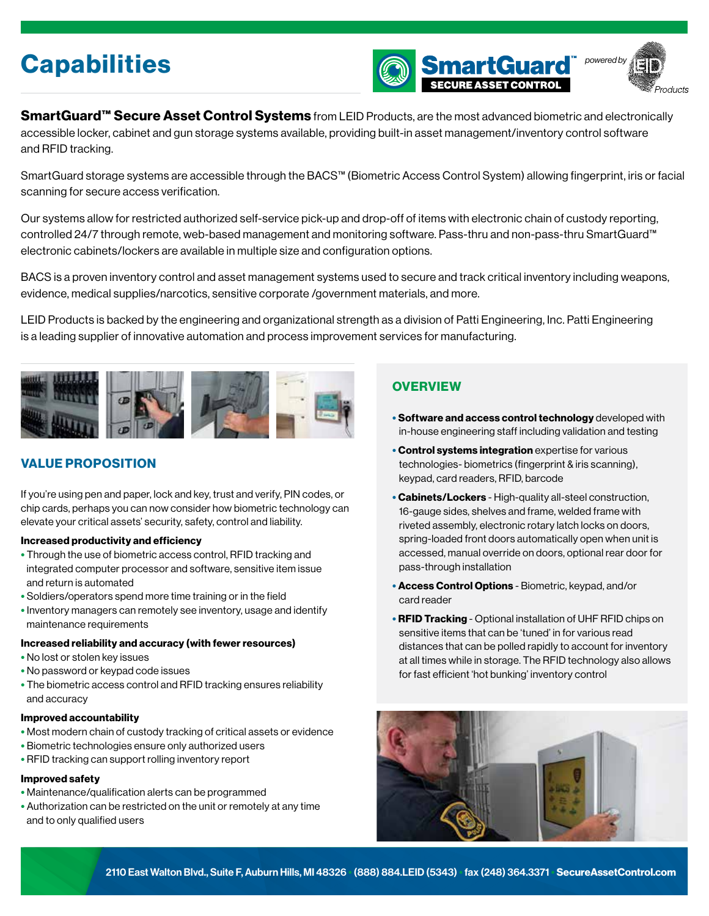



SmartGuard™ Secure Asset Control Systems from LEID Products, are the most advanced biometric and electronically accessible locker, cabinet and gun storage systems available, providing built-in asset management/inventory control software and RFID tracking.

SmartGuard storage systems are accessible through the BACS™ (Biometric Access Control System) allowing fingerprint, iris or facial scanning for secure access verification.

Our systems allow for restricted authorized self-service pick-up and drop-off of items with electronic chain of custody reporting, controlled 24/7 through remote, web-based management and monitoring software. Pass-thru and non-pass-thru SmartGuard™ electronic cabinets/lockers are available in multiple size and configuration options.

BACS is a proven inventory control and asset management systems used to secure and track critical inventory including weapons, evidence, medical supplies/narcotics, sensitive corporate /government materials, and more.

LEID Products is backed by the engineering and organizational strength as a division of Patti Engineering, Inc. Patti Engineering is a leading supplier of innovative automation and process improvement services for manufacturing.



# VALUE PROPOSITION

If you're using pen and paper, lock and key, trust and verify, PIN codes, or chip cards, perhaps you can now consider how biometric technology can elevate your critical assets' security, safety, control and liability.

### Increased productivity and efficiency

- Through the use of biometric access control, RFID tracking and integrated computer processor and software, sensitive item issue and return is automated
- Soldiers/operators spend more time training or in the field
- Inventory managers can remotely see inventory, usage and identify maintenance requirements

### Increased reliability and accuracy (with fewer resources)

- No lost or stolen key issues
- No password or keypad code issues
- The biometric access control and RFID tracking ensures reliability and accuracy

### Improved accountability

- Most modern chain of custody tracking of critical assets or evidence
- Biometric technologies ensure only authorized users
- RFID tracking can support rolling inventory report

### Improved safety

- Maintenance/qualification alerts can be programmed
- Authorization can be restricted on the unit or remotely at any time and to only qualified users

### **OVERVIEW**

- Software and access control technology developed with in-house engineering staff including validation and testing
- Control systems integration expertise for various technologies- biometrics (fingerprint & iris scanning), keypad, card readers, RFID, barcode
- Cabinets/Lockers High-quality all-steel construction, 16-gauge sides, shelves and frame, welded frame with riveted assembly, electronic rotary latch locks on doors, spring-loaded front doors automatically open when unit is accessed, manual override on doors, optional rear door for pass-through installation
- Access Control Options Biometric, keypad, and/or card reader
- **RFID Tracking** Optional installation of UHF RFID chips on sensitive items that can be 'tuned' in for various read distances that can be polled rapidly to account for inventory at all times while in storage. The RFID technology also allows for fast efficient 'hot bunking' inventory control